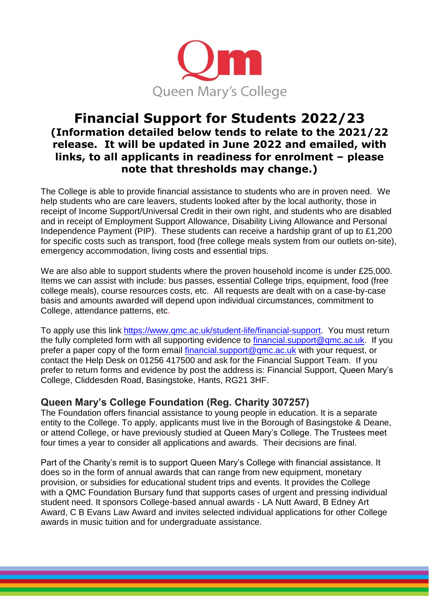

## **Financial Support for Students 2022/23 (Information detailed below tends to relate to the 2021/22 release. It will be updated in June 2022 and emailed, with links, to all applicants in readiness for enrolment – please note that thresholds may change.)**

The College is able to provide financial assistance to students who are in proven need. We help students who are care leavers, students looked after by the local authority, those in receipt of Income Support/Universal Credit in their own right, and students who are disabled and in receipt of Employment Support Allowance, Disability Living Allowance and Personal Independence Payment (PIP). These students can receive a hardship grant of up to £1,200 for specific costs such as transport, food (free college meals system from our outlets on-site), emergency accommodation, living costs and essential trips.

We are also able to support students where the proven household income is under £25,000. Items we can assist with include: bus passes, essential College trips, equipment, food (free college meals), course resources costs, etc. All requests are dealt with on a case-by-case basis and amounts awarded will depend upon individual circumstances, commitment to College, attendance patterns, etc.

To apply use this link [https://www.qmc.ac.uk/student-life/financial-support.](https://www.qmc.ac.uk/student-life/financial-support) You must return the fully completed form with all supporting evidence to [financial.support@qmc.ac.uk.](mailto:financial.support@qmc.ac.uk) If you prefer a paper copy of the form email [financial.support@qmc.ac.uk](mailto:financial.support@qmc.ac.uk) with your request, or contact the Help Desk on 01256 417500 and ask for the Financial Support Team. If you prefer to return forms and evidence by post the address is: Financial Support, Queen Mary's College, Cliddesden Road, Basingstoke, Hants, RG21 3HF.

## **Queen Mary's College Foundation (Reg. Charity 307257)**

The Foundation offers financial assistance to young people in education. It is a separate entity to the College. To apply, applicants must live in the Borough of Basingstoke & Deane, or attend College, or have previously studied at Queen Mary's College. The Trustees meet four times a year to consider all applications and awards. Their decisions are final.

Part of the Charity's remit is to support Queen Mary's College with financial assistance. It does so in the form of annual awards that can range from new equipment, monetary provision, or subsidies for educational student trips and events. It provides the College with a QMC Foundation Bursary fund that supports cases of urgent and pressing individual student need. It sponsors College-based annual awards - LA Nutt Award, B Edney Art Award, C B Evans Law Award and invites selected individual applications for other College awards in music tuition and for undergraduate assistance.